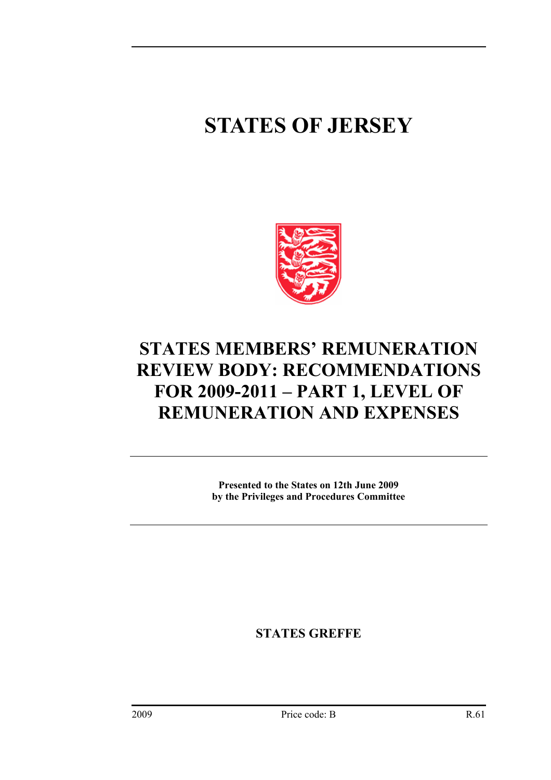# **STATES OF JERSEY**



# **STATES MEMBERS' REMUNERATION REVIEW BODY: RECOMMENDATIONS FOR 2009-2011 – PART 1, LEVEL OF REMUNERATION AND EXPENSES**

**Presented to the States on 12th June 2009 by the Privileges and Procedures Committee** 

**STATES GREFFE**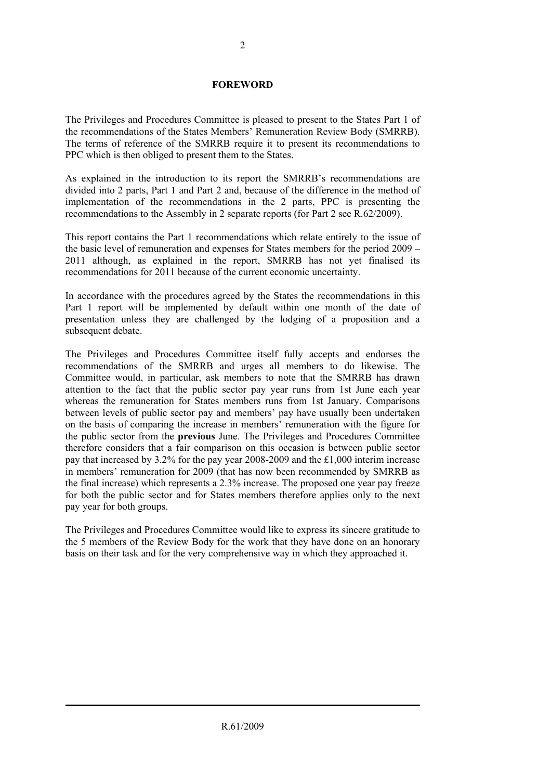#### **FOREWORD**

The Privileges and Procedures Committee is pleased to present to the States Part 1 of the recommendations of the States Members' Remuneration Review Body (SMRRB). The terms of reference of the SMRRB require it to present its recommendations to PPC which is then obliged to present them to the States.

As explained in the introduction to its report the SMRRB's recommendations are divided into 2 parts, Part 1 and Part 2 and, because of the difference in the method of implementation of the recommendations in the 2 parts, PPC is presenting the recommendations to the Assembly in 2 separate reports (for Part 2 see R.62/2009).

This report contains the Part 1 recommendations which relate entirely to the issue of the basic level of remuneration and expenses for States members for the period 2009 – 2011 although, as explained in the report, SMRRB has not yet finalised its recommendations for 2011 because of the current economic uncertainty.

In accordance with the procedures agreed by the States the recommendations in this Part 1 report will be implemented by default within one month of the date of presentation unless they are challenged by the lodging of a proposition and a subsequent debate.

The Privileges and Procedures Committee itself fully accepts and endorses the recommendations of the SMRRB and urges all members to do likewise. The Committee would, in particular, ask members to note that the SMRRB has drawn attention to the fact that the public sector pay year runs from 1st June each year whereas the remuneration for States members runs from 1st January. Comparisons between levels of public sector pay and members' pay have usually been undertaken on the basis of comparing the increase in members' remuneration with the figure for the public sector from the **previous** June. The Privileges and Procedures Committee therefore considers that a fair comparison on this occasion is between public sector pay that increased by 3.2% for the pay year 2008-2009 and the £1,000 interim increase in members' remuneration for 2009 (that has now been recommended by SMRRB as the final increase) which represents a 2.3% increase. The proposed one year pay freeze for both the public sector and for States members therefore applies only to the next pay year for both groups.

The Privileges and Procedures Committee would like to express its sincere gratitude to the 5 members of the Review Body for the work that they have done on an honorary basis on their task and for the very comprehensive way in which they approached it.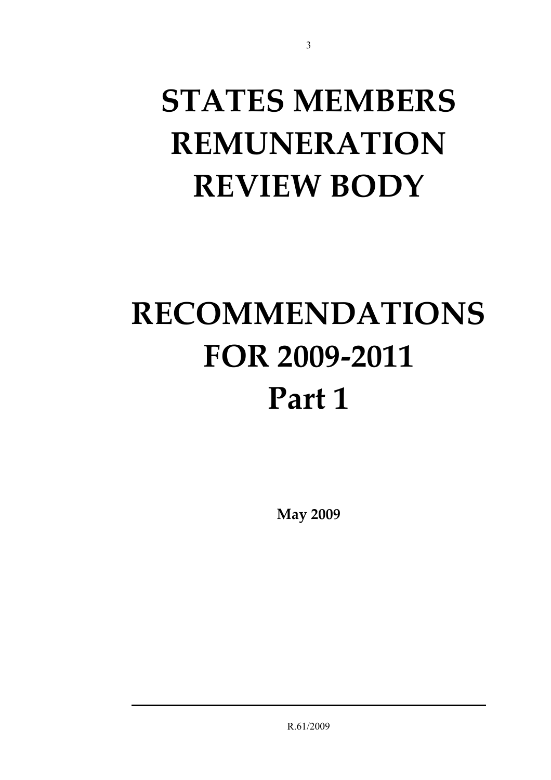# **STATES MEMBERS REMUNERATION REVIEW BODY**

3

# **RECOMMENDATIONS FOR 2009-2011 Part 1**

**May 2009** 

R.61/2009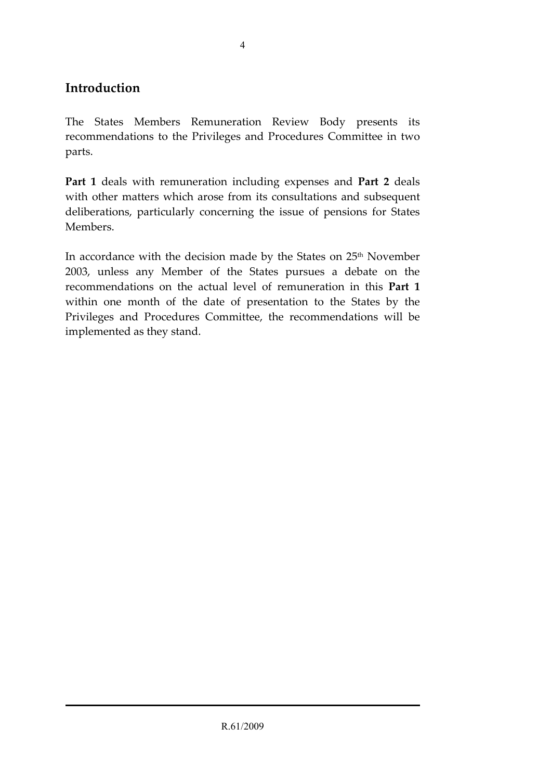### **Introduction**

The States Members Remuneration Review Body presents its recommendations to the Privileges and Procedures Committee in two parts.

**Part 1** deals with remuneration including expenses and **Part 2** deals with other matters which arose from its consultations and subsequent deliberations, particularly concerning the issue of pensions for States Members.

In accordance with the decision made by the States on 25<sup>th</sup> November 2003, unless any Member of the States pursues a debate on the recommendations on the actual level of remuneration in this **Part 1** within one month of the date of presentation to the States by the Privileges and Procedures Committee, the recommendations will be implemented as they stand.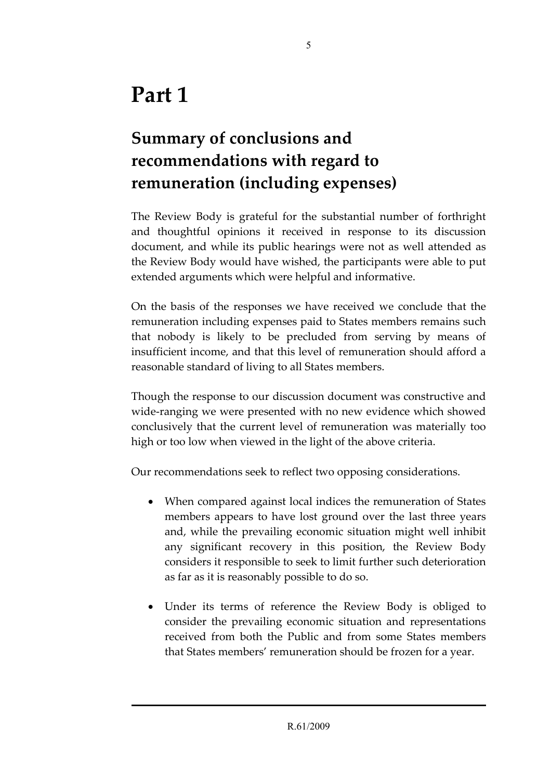# **Summary of conclusions and recommendations with regard to remuneration (including expenses)**

The Review Body is grateful for the substantial number of forthright and thoughtful opinions it received in response to its discussion document, and while its public hearings were not as well attended as the Review Body would have wished, the participants were able to put extended arguments which were helpful and informative.

On the basis of the responses we have received we conclude that the remuneration including expenses paid to States members remains such that nobody is likely to be precluded from serving by means of insufficient income, and that this level of remuneration should afford a reasonable standard of living to all States members.

Though the response to our discussion document was constructive and wide-ranging we were presented with no new evidence which showed conclusively that the current level of remuneration was materially too high or too low when viewed in the light of the above criteria.

Our recommendations seek to reflect two opposing considerations.

- When compared against local indices the remuneration of States members appears to have lost ground over the last three years and, while the prevailing economic situation might well inhibit any significant recovery in this position, the Review Body considers it responsible to seek to limit further such deterioration as far as it is reasonably possible to do so.
- Under its terms of reference the Review Body is obliged to consider the prevailing economic situation and representations received from both the Public and from some States members that States members' remuneration should be frozen for a year.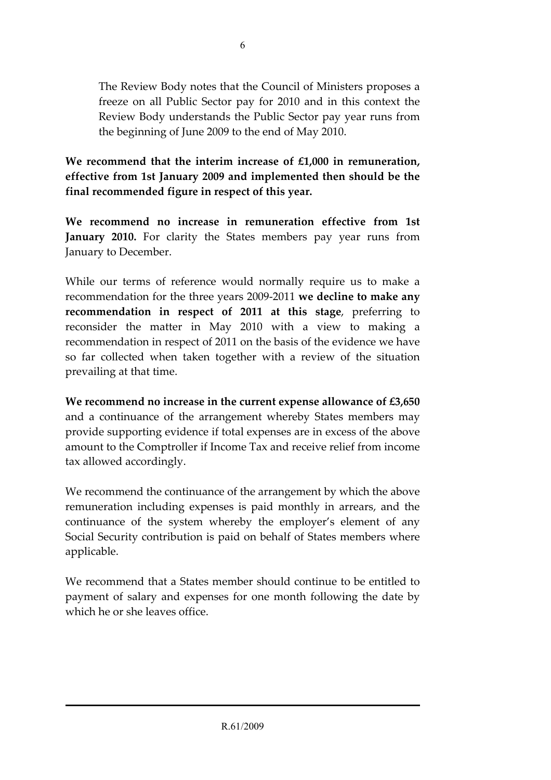The Review Body notes that the Council of Ministers proposes a freeze on all Public Sector pay for 2010 and in this context the Review Body understands the Public Sector pay year runs from the beginning of June 2009 to the end of May 2010.

**We recommend that the interim increase of £1,000 in remuneration, effective from 1st January 2009 and implemented then should be the final recommended figure in respect of this year.** 

**We recommend no increase in remuneration effective from 1st January 2010.** For clarity the States members pay year runs from January to December.

While our terms of reference would normally require us to make a recommendation for the three years 2009-2011 **we decline to make any recommendation in respect of 2011 at this stage**, preferring to reconsider the matter in May 2010 with a view to making a recommendation in respect of 2011 on the basis of the evidence we have so far collected when taken together with a review of the situation prevailing at that time.

**We recommend no increase in the current expense allowance of £3,650** and a continuance of the arrangement whereby States members may provide supporting evidence if total expenses are in excess of the above amount to the Comptroller if Income Tax and receive relief from income tax allowed accordingly.

We recommend the continuance of the arrangement by which the above remuneration including expenses is paid monthly in arrears, and the continuance of the system whereby the employer's element of any Social Security contribution is paid on behalf of States members where applicable.

We recommend that a States member should continue to be entitled to payment of salary and expenses for one month following the date by which he or she leaves office.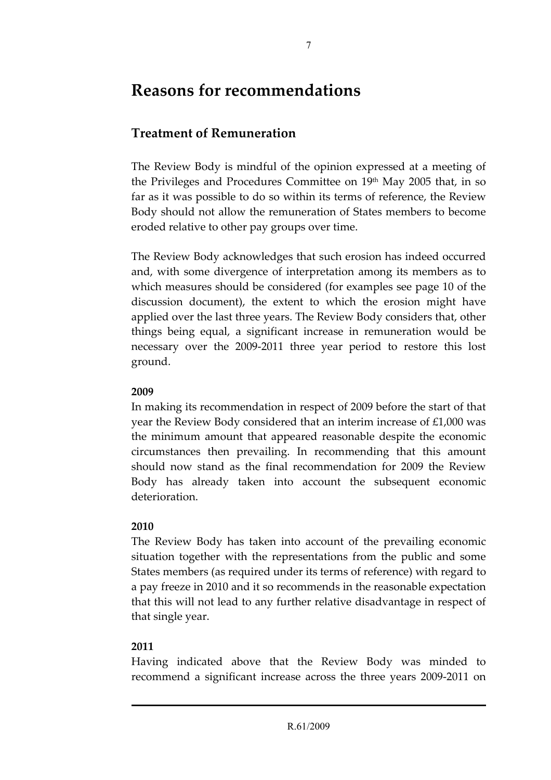## **Reasons for recommendations**

## **Treatment of Remuneration**

The Review Body is mindful of the opinion expressed at a meeting of the Privileges and Procedures Committee on 19th May 2005 that, in so far as it was possible to do so within its terms of reference, the Review Body should not allow the remuneration of States members to become eroded relative to other pay groups over time.

The Review Body acknowledges that such erosion has indeed occurred and, with some divergence of interpretation among its members as to which measures should be considered (for examples see page 10 of the discussion document), the extent to which the erosion might have applied over the last three years. The Review Body considers that, other things being equal, a significant increase in remuneration would be necessary over the 2009-2011 three year period to restore this lost ground.

#### **2009**

In making its recommendation in respect of 2009 before the start of that year the Review Body considered that an interim increase of £1,000 was the minimum amount that appeared reasonable despite the economic circumstances then prevailing. In recommending that this amount should now stand as the final recommendation for 2009 the Review Body has already taken into account the subsequent economic deterioration.

#### **2010**

The Review Body has taken into account of the prevailing economic situation together with the representations from the public and some States members (as required under its terms of reference) with regard to a pay freeze in 2010 and it so recommends in the reasonable expectation that this will not lead to any further relative disadvantage in respect of that single year.

#### **2011**

Having indicated above that the Review Body was minded to recommend a significant increase across the three years 2009-2011 on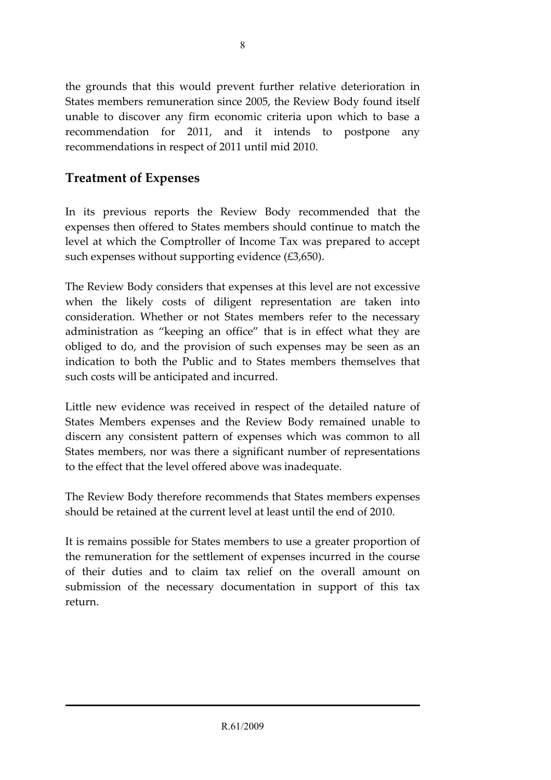the grounds that this would prevent further relative deterioration in States members remuneration since 2005, the Review Body found itself unable to discover any firm economic criteria upon which to base a recommendation for 2011, and it intends to postpone any recommendations in respect of 2011 until mid 2010.

## **Treatment of Expenses**

In its previous reports the Review Body recommended that the expenses then offered to States members should continue to match the level at which the Comptroller of Income Tax was prepared to accept such expenses without supporting evidence (£3,650).

The Review Body considers that expenses at this level are not excessive when the likely costs of diligent representation are taken into consideration. Whether or not States members refer to the necessary administration as "keeping an office" that is in effect what they are obliged to do, and the provision of such expenses may be seen as an indication to both the Public and to States members themselves that such costs will be anticipated and incurred.

Little new evidence was received in respect of the detailed nature of States Members expenses and the Review Body remained unable to discern any consistent pattern of expenses which was common to all States members, nor was there a significant number of representations to the effect that the level offered above was inadequate.

The Review Body therefore recommends that States members expenses should be retained at the current level at least until the end of 2010.

It is remains possible for States members to use a greater proportion of the remuneration for the settlement of expenses incurred in the course of their duties and to claim tax relief on the overall amount on submission of the necessary documentation in support of this tax return.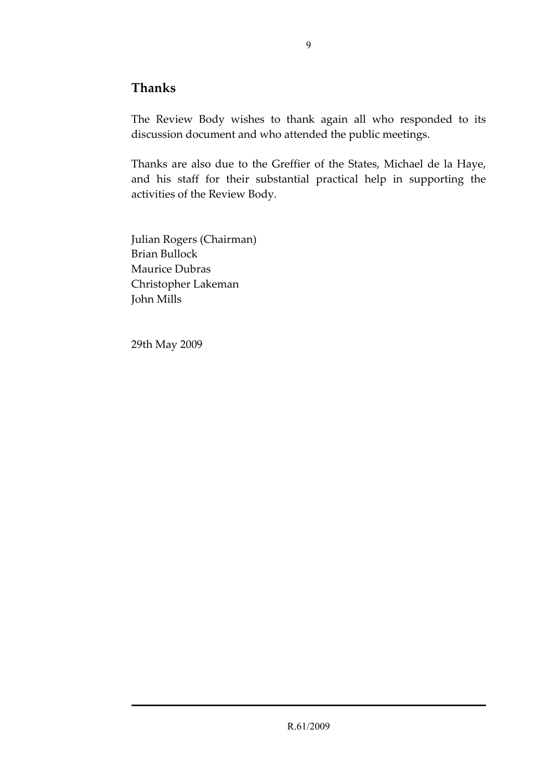### **Thanks**

The Review Body wishes to thank again all who responded to its discussion document and who attended the public meetings.

Thanks are also due to the Greffier of the States, Michael de la Haye, and his staff for their substantial practical help in supporting the activities of the Review Body.

Julian Rogers (Chairman) Brian Bullock Maurice Dubras Christopher Lakeman John Mills

29th May 2009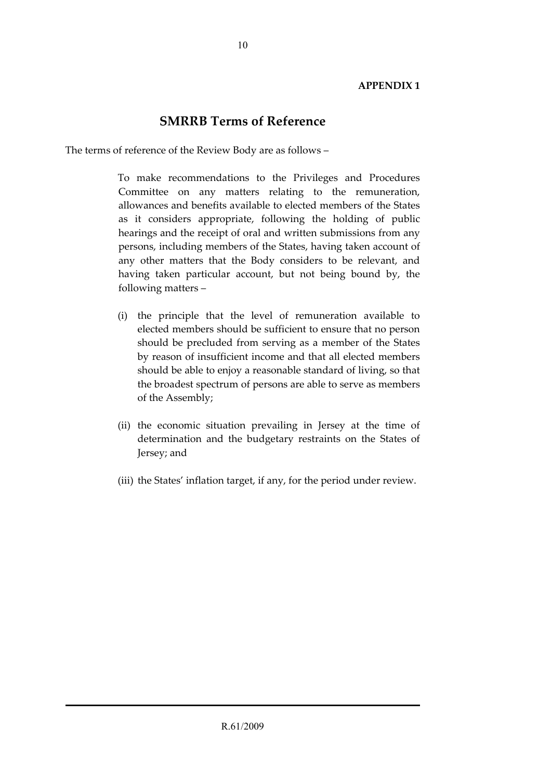#### **APPENDIX 1**

#### **SMRRB Terms of Reference**

The terms of reference of the Review Body are as follows –

 To make recommendations to the Privileges and Procedures Committee on any matters relating to the remuneration, allowances and benefits available to elected members of the States as it considers appropriate, following the holding of public hearings and the receipt of oral and written submissions from any persons, including members of the States, having taken account of any other matters that the Body considers to be relevant, and having taken particular account, but not being bound by, the following matters –

- (i) the principle that the level of remuneration available to elected members should be sufficient to ensure that no person should be precluded from serving as a member of the States by reason of insufficient income and that all elected members should be able to enjoy a reasonable standard of living, so that the broadest spectrum of persons are able to serve as members of the Assembly;
- (ii) the economic situation prevailing in Jersey at the time of determination and the budgetary restraints on the States of Jersey; and
- (iii) the States' inflation target, if any, for the period under review.